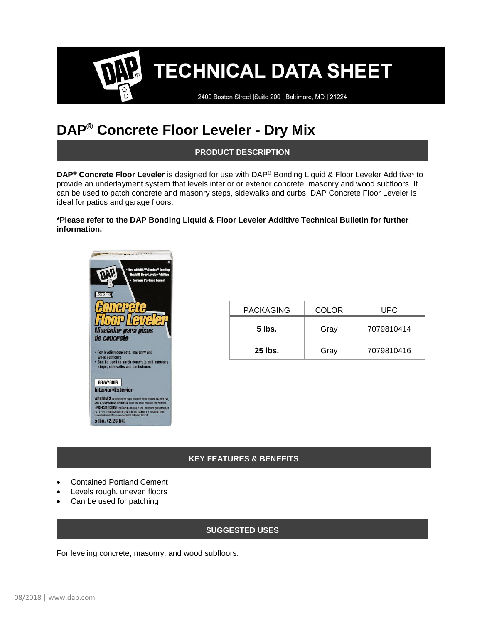# **TECHNICAL DATA SHEET**

2400 Boston Street | Suite 200 | Baltimore, MD | 21224

# **DAP® Concrete Floor Leveler - Dry Mix**

**PRODUCT DESCRIPTION**

**DAP® Concrete Floor Leveler** is designed for use with DAP® Bonding Liquid & Floor Leveler Additive\* to provide an underlayment system that levels interior or exterior concrete, masonry and wood subfloors. It can be used to patch concrete and masonry steps, sidewalks and curbs. DAP Concrete Floor Leveler is ideal for patios and garage floors.

**\*Please refer to the DAP Bonding Liquid & Floor Leveler Additive Technical Bulletin for further information.**



| <b>PACKAGING</b> | <b>COLOR</b> | UPC        |
|------------------|--------------|------------|
| 5 lbs.           | Gray         | 7079810414 |
| 25 lbs.          | Gray         | 7079810416 |

#### **KEY FEATURES & BENEFITS**

- Contained Portland Cement
- Levels rough, uneven floors
- Can be used for patching

#### **SUGGESTED USES**

For leveling concrete, masonry, and wood subfloors.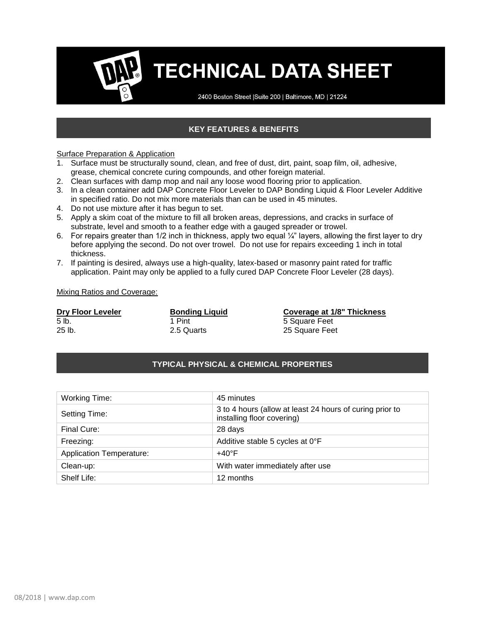# **TECHNICAL DATA SHEET**

2400 Boston Street | Suite 200 | Baltimore, MD | 21224

## **KEY FEATURES & BENEFITS**

#### **Surface Preparation & Application**

- 1. Surface must be structurally sound, clean, and free of dust, dirt, paint, soap film, oil, adhesive, grease, chemical concrete curing compounds, and other foreign material.
- 2. Clean surfaces with damp mop and nail any loose wood flooring prior to application.
- 3. In a clean container add DAP Concrete Floor Leveler to DAP Bonding Liquid & Floor Leveler Additive in specified ratio. Do not mix more materials than can be used in 45 minutes.
- 4. Do not use mixture after it has begun to set.
- 5. Apply a skim coat of the mixture to fill all broken areas, depressions, and cracks in surface of substrate, level and smooth to a feather edge with a gauged spreader or trowel.
- 6. For repairs greater than 1/2 inch in thickness, apply two equal  $\frac{1}{4}$ " layers, allowing the first layer to dry before applying the second. Do not over trowel. Do not use for repairs exceeding 1 inch in total thickness.
- 7. If painting is desired, always use a high-quality, latex-based or masonry paint rated for traffic application. Paint may only be applied to a fully cured DAP Concrete Floor Leveler (28 days).

#### Mixing Ratios and Coverage:

| <b>Dry Floor Leveler</b> | <b>Bonding</b> |
|--------------------------|----------------|
| 5 lb.                    | 1 Pint         |
| $25$ lb.                 | 2.5 Quarts     |

**Driguid Bonding Liquid Bonding Coverage at 1/8" Thickness** 5 Square Feet s. 25 Square Feet

#### **TYPICAL PHYSICAL & CHEMICAL PROPERTIES**

| Working Time:                   | 45 minutes                                                                             |
|---------------------------------|----------------------------------------------------------------------------------------|
| Setting Time:                   | 3 to 4 hours (allow at least 24 hours of curing prior to<br>installing floor covering) |
| Final Cure:                     | 28 days                                                                                |
| Freezing:                       | Additive stable 5 cycles at 0°F                                                        |
| <b>Application Temperature:</b> | $+40^{\circ}$ F                                                                        |
| Clean-up:                       | With water immediately after use                                                       |
| Shelf Life:                     | 12 months                                                                              |